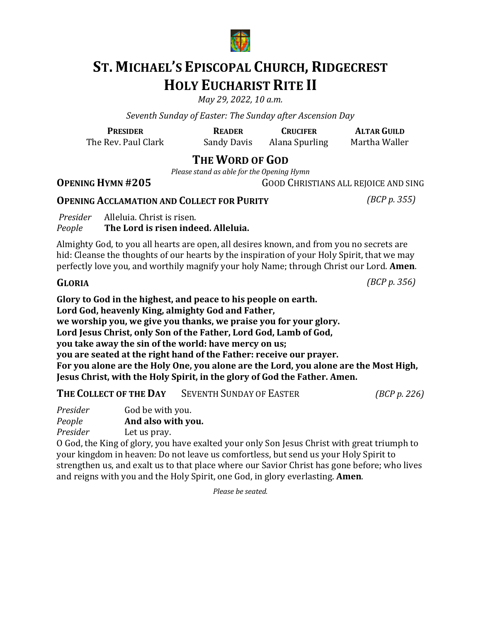

# **ST. MICHAEL'S EPISCOPAL CHURCH, RIDGECREST HOLY EUCHARIST RITE II**

*May* 29, 2022, 10 a.m.

*Seventh Sunday of Easter: The Sunday after Ascension Day*

The Rev. Paul Clark Sandy Davis Alana Spurling Martha Waller

**PRESIDER READER CRUCIFER ALTAR GUILD**

# **THE WORD OF GOD**

*Please stand as able for the Opening Hymn* 

### **OPENING HYMN #205** GOOD CHRISTIANS ALL REJOICE AND SING

**OPENING ACCLAMATION AND COLLECT FOR PURITY** *(BCP p. 355)* 

*Presider* Alleluia. Christ is risen.<br>*People* **The Lord is risen inde The Lord is risen indeed. Alleluia.** 

Almighty God, to you all hearts are open, all desires known, and from you no secrets are hid: Cleanse the thoughts of our hearts by the inspiration of your Holy Spirit, that we may perfectly love you, and worthily magnify your holy Name; through Christ our Lord. **Amen.** 

**GLORIA** *(BCP p. 356)* 

Glory to God in the highest, and peace to his people on earth. Lord God, heavenly King, almighty God and Father, we worship you, we give you thanks, we praise you for your glory. Lord Jesus Christ, only Son of the Father, Lord God, Lamb of God, **you take away the sin of the world: have mercy on us; you are seated at the right hand of the Father: receive our prayer.** For you alone are the Holy One, you alone are the Lord, you alone are the Most High, **Jesus Christ, with the Holy Spirit, in the glory of God the Father. Amen.** 

**THE COLLECT OF THE DAY** SEVENTH SUNDAY OF EASTER *(BCP p. 226)* 

| Presider | God be with you.   |  |
|----------|--------------------|--|
| People   | And also with you. |  |
| Presider | Let us pray.       |  |

O God, the King of glory, you have exalted your only Son Jesus Christ with great triumph to  $\,$ your kingdom in heaven: Do not leave us comfortless, but send us your Holy Spirit to strengthen us, and exalt us to that place where our Savior Christ has gone before; who lives and reigns with you and the Holy Spirit, one God, in glory everlasting. **Amen**.

*Please be seated.*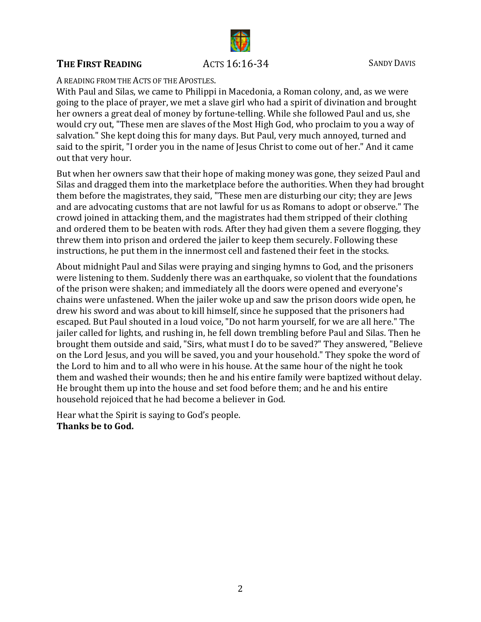

### **THE FIRST READING** ACTS 16:16-34 SANDY DAVIS

#### A READING FROM THE ACTS OF THE APOSTLES.

With Paul and Silas, we came to Philippi in Macedonia, a Roman colony, and, as we were going to the place of prayer, we met a slave girl who had a spirit of divination and brought her owners a great deal of money by fortune-telling. While she followed Paul and us, she would cry out, "These men are slaves of the Most High God, who proclaim to you a way of salvation." She kept doing this for many days. But Paul, very much annoyed, turned and said to the spirit, "I order you in the name of Jesus Christ to come out of her." And it came out that very hour.

But when her owners saw that their hope of making money was gone, they seized Paul and Silas and dragged them into the marketplace before the authorities. When they had brought them before the magistrates, they said, "These men are disturbing our city; they are Jews and are advocating customs that are not lawful for us as Romans to adopt or observe." The crowd joined in attacking them, and the magistrates had them stripped of their clothing and ordered them to be beaten with rods. After they had given them a severe flogging, they threw them into prison and ordered the jailer to keep them securely. Following these instructions, he put them in the innermost cell and fastened their feet in the stocks.

About midnight Paul and Silas were praying and singing hymns to God, and the prisoners were listening to them. Suddenly there was an earthquake, so violent that the foundations of the prison were shaken; and immediately all the doors were opened and everyone's chains were unfastened. When the jailer woke up and saw the prison doors wide open, he drew his sword and was about to kill himself, since he supposed that the prisoners had escaped. But Paul shouted in a loud voice, "Do not harm yourself, for we are all here." The jailer called for lights, and rushing in, he fell down trembling before Paul and Silas. Then he brought them outside and said, "Sirs, what must I do to be saved?" They answered, "Believe on the Lord Jesus, and you will be saved, you and your household." They spoke the word of the Lord to him and to all who were in his house. At the same hour of the night he took them and washed their wounds; then he and his entire family were baptized without delay. He brought them up into the house and set food before them; and he and his entire household rejoiced that he had become a believer in God.

Hear what the Spirit is saying to God's people. **Thanks be to God.**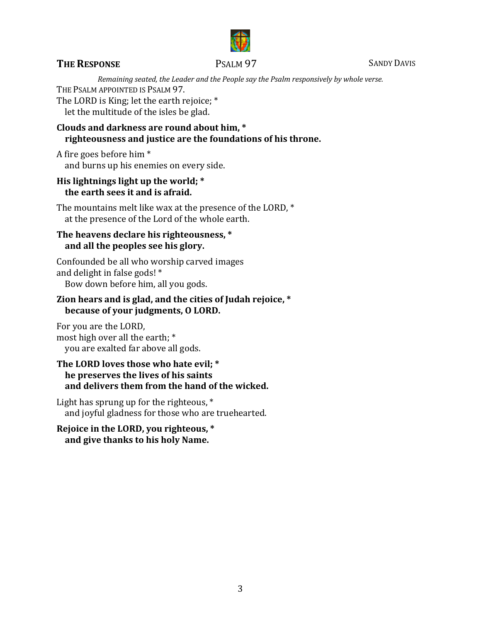

### **THE RESPONSE** PSALM 97 SANDY DAVIS

*Remaining seated, the Leader and the People say the Psalm responsively by whole verse.* THE PSALM APPOINTED IS PSALM 97.

The LORD is King; let the earth rejoice; \* let the multitude of the isles be glad.

#### Clouds and darkness are round about him, \* righteousness and justice are the foundations of his throne.

A fire goes before him  $*$ and burns up his enemies on every side.

#### His lightnings light up the world; \* **the earth sees it and is afraid.**

The mountains melt like wax at the presence of the LORD,  $*$ at the presence of the Lord of the whole earth.

#### The heavens declare his righteousness, \* and all the peoples see his glory.

Confounded be all who worship carved images and delight in false gods!  $*$ Bow down before him, all you gods.

#### **Zion hears and is glad, and the cities of Judah rejoice, \* because of your judgments, O LORD.**

For you are the LORD, most high over all the earth; \* you are exalted far above all gods.

#### The LORD loves those who hate evil; \*  **he preserves the lives of his saints** and delivers them from the hand of the wicked.

Light has sprung up for the righteous,  $*$ and joyful gladness for those who are truehearted.

#### **Rejoice in the LORD, you righteous, \*** and give thanks to his holy Name.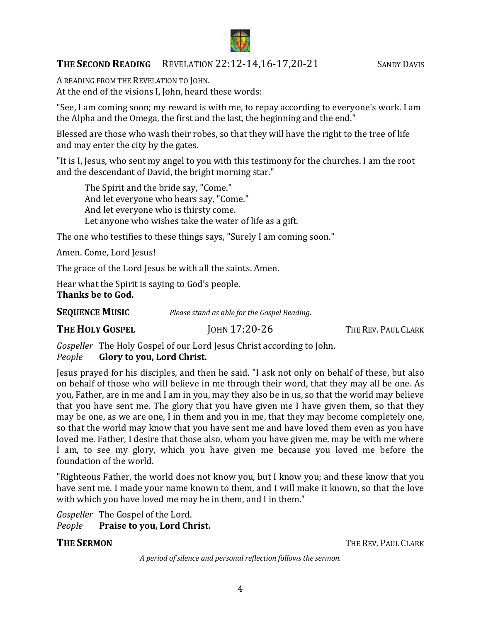

## **THE SECOND READING** REVELATION 22:12-14,16-17,20-21 SANDY DAVIS

A READING FROM THE REVELATION TO JOHN.

At the end of the visions I, John, heard these words:

"See, I am coming soon; my reward is with me, to repay according to everyone's work. I am the Alpha and the Omega, the first and the last, the beginning and the end."

Blessed are those who wash their robes, so that they will have the right to the tree of life and may enter the city by the gates.

"It is I, Jesus, who sent my angel to you with this testimony for the churches. I am the root and the descendant of David, the bright morning star."

The Spirit and the bride say, "Come." And let everyone who hears say, "Come." And let everyone who is thirsty come. Let anyone who wishes take the water of life as a gift.

The one who testifies to these things says, "Surely I am coming soon."

Amen. Come, Lord Jesus!

The grace of the Lord Jesus be with all the saints. Amen.

Hear what the Spirit is saying to God's people. **Thanks be to God.** 

**SEQUENCE MUSIC** *Please stand as able for the Gospel Reading.* 

|  | <b>THE HOLY GOSPEL</b> |
|--|------------------------|
|  |                        |

**THE REV. PAUL CLARK** 

*Gospeller* The Holy Gospel of our Lord Jesus Christ according to John.<br>People **Glory to you, Lord Christ. Glory to you, Lord Christ.** 

Jesus prayed for his disciples, and then he said. "I ask not only on behalf of these, but also on behalf of those who will believe in me through their word, that they may all be one. As you, Father, are in me and I am in you, may they also be in us, so that the world may believe that you have sent me. The glory that you have given me I have given them, so that they may be one, as we are one, I in them and you in me, that they may become completely one, so that the world may know that you have sent me and have loved them even as you have loved me. Father, I desire that those also, whom you have given me, may be with me where I am, to see my glory, which you have given me because you loved me before the foundation of the world.

"Righteous Father, the world does not know you, but I know you; and these know that you have sent me. I made your name known to them, and I will make it known, so that the love with which you have loved me may be in them, and I in them."

*Gospeller* The Gospel of the Lord.<br>*People* **Praise to you, Lord Ch** 

**Praise to you, Lord Christ.** 

**THE SERMON THE REV. PAUL CLARK** 

*A period of silence and personal reflection follows the sermon.*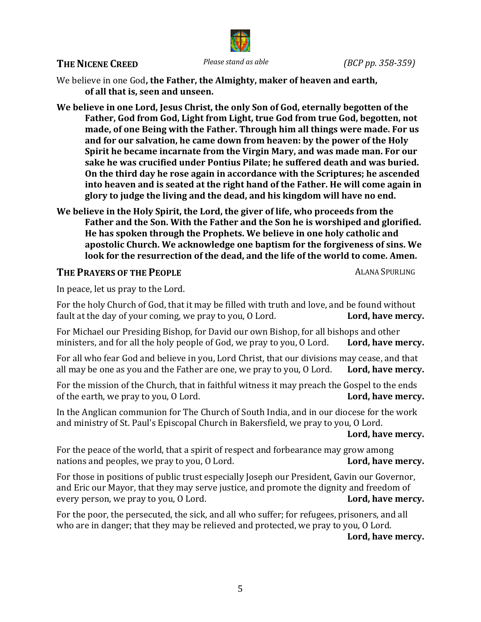#### **THE NICENE CREED** *Please stand as able (BCP pp. 358-359)*



We believe in one God, the Father, the Almighty, maker of heaven and earth, of all that is, seen and unseen.

We believe in one Lord, Jesus Christ, the only Son of God, eternally begotten of the Father, God from God, Light from Light, true God from true God, begotten, not made, of one Being with the Father. Through him all things were made. For us and for our salvation, he came down from heaven: by the power of the Holy **Spirit he became incarnate from the Virgin Mary, and was made man. For our** sake he was crucified under Pontius Pilate; he suffered death and was buried. On the third day he rose again in accordance with the Scriptures; he ascended into heaven and is seated at the right hand of the Father. He will come again in glory to judge the living and the dead, and his kingdom will have no end.

We believe in the Holy Spirit, the Lord, the giver of life, who proceeds from the **Father and the Son. With the Father and the Son he is worshiped and glorified.** He has spoken through the Prophets. We believe in one holy catholic and apostolic Church. We acknowledge one baptism for the forgiveness of sins. We look for the resurrection of the dead, and the life of the world to come. Amen.

#### **THE PRAYERS OF THE PEOPLE ALANA SPURLING**

In peace, let us pray to the Lord.

For the holy Church of God, that it may be filled with truth and love, and be found without fault at the day of your coming, we pray to you, O Lord. **Lord, have mercy.** fault at the day of your coming, we pray to you, O Lord.

For Michael our Presiding Bishop, for David our own Bishop, for all bishops and other ministers, and for all the holy people of God, we pray to you, O Lord. Lord, have mercy. ministers, and for all the holy people of God, we pray to you, O Lord.

For all who fear God and believe in you, Lord Christ, that our divisions may cease, and that all may be one as you and the Father are one, we pray to you, O Lord. Lord, have mercy. all may be one as you and the Father are one, we pray to you, O Lord.

For the mission of the Church, that in faithful witness it may preach the Gospel to the ends of the earth, we pray to you, O Lord. of the earth, we pray to you, O Lord.

In the Anglican communion for The Church of South India, and in our diocese for the work and ministry of St. Paul's Episcopal Church in Bakersfield, we pray to you, O Lord.

#### Lord, have mercy.

For the peace of the world, that a spirit of respect and forbearance may grow among nations and peoples, we pray to you, O Lord.  $\blacksquare$ nations and peoples, we pray to you, O Lord.

For those in positions of public trust especially Joseph our President, Gavin our Governor, and Eric our Mayor, that they may serve justice, and promote the dignity and freedom of every person, we pray to you, O Lord. every person, we pray to you, O Lord.

For the poor, the persecuted, the sick, and all who suffer; for refugees, prisoners, and all who are in danger; that they may be relieved and protected, we pray to you, O Lord.

#### Lord, have mercy.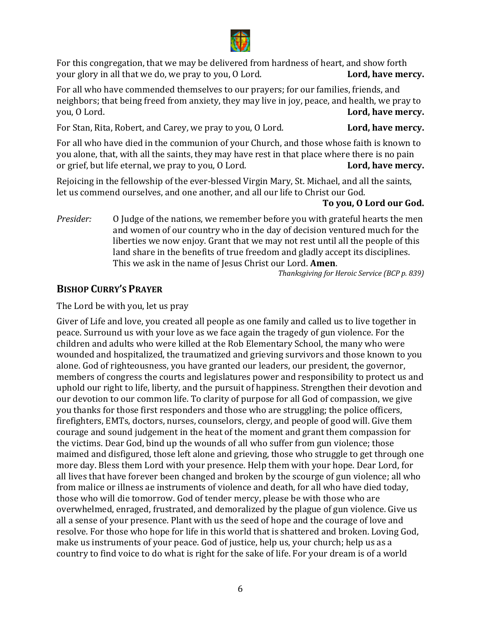For this congregation, that we may be delivered from hardness of heart, and show forth your glory in all that we do, we pray to you, O Lord. **Lord, have mercy.** your glory in all that we do, we pray to you, O Lord.

For all who have commended themselves to our prayers; for our families, friends, and neighbors; that being freed from anxiety, they may live in joy, peace, and health, we pray to you, O Lord. Lord, have mercy.

For Stan, Rita, Robert, and Carey, we pray to you, O Lord. **Lord, have mercy.** 

For all who have died in the communion of your Church, and those whose faith is known to you alone, that, with all the saints, they may have rest in that place where there is no pain<br>or grief, but life eternal, we pray to you, O Lord.<br>**Lord, have mercy.** or grief, but life eternal, we pray to you, O Lord.

Rejoicing in the fellowship of the ever-blessed Virgin Mary, St. Michael, and all the saints, let us commend ourselves, and one another, and all our life to Christ our God.

#### To you, O Lord our God.

*Presider:* O Judge of the nations, we remember before you with grateful hearts the men and women of our country who in the day of decision ventured much for the liberties we now enjoy. Grant that we may not rest until all the people of this land share in the benefits of true freedom and gladly accept its disciplines. This we ask in the name of Jesus Christ our Lord. **Amen**.

*Thanksgiving for Heroic Service (BCP p. 839)*

### **BISHOP CURRY'S PRAYER**

The Lord be with you, let us pray

Giver of Life and love, you created all people as one family and called us to live together in peace. Surround us with your love as we face again the tragedy of gun violence. For the children and adults who were killed at the Rob Elementary School, the many who were wounded and hospitalized, the traumatized and grieving survivors and those known to you alone. God of righteousness, you have granted our leaders, our president, the governor, members of congress the courts and legislatures power and responsibility to protect us and uphold our right to life, liberty, and the pursuit of happiness. Strengthen their devotion and our devotion to our common life. To clarity of purpose for all God of compassion, we give you thanks for those first responders and those who are struggling; the police officers, firefighters, EMTs, doctors, nurses, counselors, clergy, and people of good will. Give them courage and sound judgement in the heat of the moment and grant them compassion for the victims. Dear God, bind up the wounds of all who suffer from gun violence; those maimed and disfigured, those left alone and grieving, those who struggle to get through one more day. Bless them Lord with your presence. Help them with your hope. Dear Lord, for all lives that have forever been changed and broken by the scourge of gun violence; all who from malice or illness ae instruments of violence and death, for all who have died today, those who will die tomorrow. God of tender mercy, please be with those who are overwhelmed, enraged, frustrated, and demoralized by the plague of gun violence. Give us all a sense of your presence. Plant with us the seed of hope and the courage of love and resolve. For those who hope for life in this world that is shattered and broken. Loving God, make us instruments of your peace. God of justice, help us, your church; help us as a country to find voice to do what is right for the sake of life. For your dream is of a world

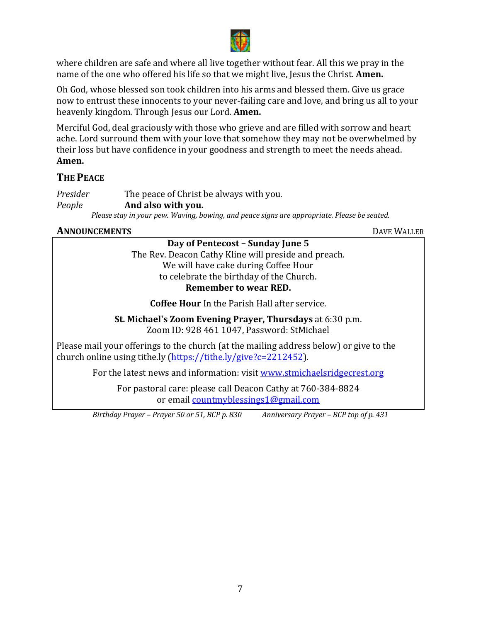

where children are safe and where all live together without fear. All this we pray in the name of the one who offered his life so that we might live, Jesus the Christ. **Amen.** 

Oh God, whose blessed son took children into his arms and blessed them. Give us grace now to entrust these innocents to your never-failing care and love, and bring us all to your heavenly kingdom. Through Jesus our Lord. **Amen.** 

Merciful God, deal graciously with those who grieve and are filled with sorrow and heart ache. Lord surround them with your love that somehow they may not be overwhelmed by their loss but have confidence in your goodness and strength to meet the needs ahead. **Amen.**

### **THE PEACE**

*Presider* The peace of Christ be always with you.<br>*People* **And also with you.** And also with you. Please stay in your pew. Waving, bowing, and peace signs are appropriate. Please be seated.

# **ANNOUNCEMENTS** DAVE **DAVE MALLER**

| Day of Pentecost - Sunday June 5                                                                                                                          |  |
|-----------------------------------------------------------------------------------------------------------------------------------------------------------|--|
| The Rev. Deacon Cathy Kline will preside and preach.                                                                                                      |  |
| We will have cake during Coffee Hour                                                                                                                      |  |
| to celebrate the birthday of the Church.                                                                                                                  |  |
| <b>Remember to wear RED.</b>                                                                                                                              |  |
| <b>Coffee Hour</b> In the Parish Hall after service.                                                                                                      |  |
| St. Michael's Zoom Evening Prayer, Thursdays at 6:30 p.m.<br>Zoom ID: 928 461 1047, Password: StMichael                                                   |  |
| Please mail your offerings to the church (at the mailing address below) or give to the<br>church online using tithe.ly (https://tithe.ly/give?c=2212452). |  |

For the latest news and information: visit www.stmichaelsridgecrest.org

For pastoral care: please call Deacon Cathy at 760-384-8824 or email **countmyblessings1@gmail.com** 

*Birthday Prayer – Prayer 50 or 51, BCP p. 830 Anniversary Prayer – BCP top of p. 431*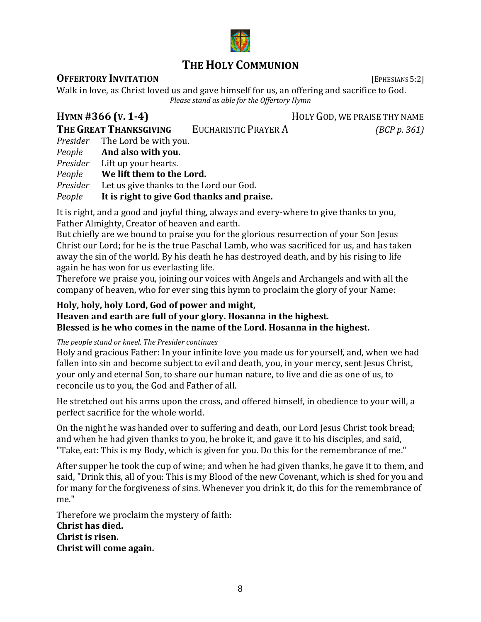

# **THE HOLY COMMUNION**

**OFFERTORY INVITATION** [EPHESIANS 5:2]

Walk in love, as Christ loved us and gave himself for us, an offering and sacrifice to God. *Please stand as able for the Offertory Hymn* 

**HYMN #366 (V. 1-4)** HOLY GOD, WE PRAISE THY NAME<br>**THE GREAT THANKSGIVING** EUCHARISTIC PRAYER A (*BCP p. 361*)

**THE GREAT THANKSGIVING**<br>*Presider* The Lord be with *Presider* The Lord be with you.<br>*People* **And also with you.** 

And also with you.

*Presider* Lift up your hearts.<br>*People* **We lift them to the** 

**We lift them to the Lord.** 

*Presider* Let us give thanks to the Lord our God.<br>*People* It is right to give God thanks and pra

It is right to give God thanks and praise.

It is right, and a good and joyful thing, always and every-where to give thanks to you, Father Almighty, Creator of heaven and earth.

But chiefly are we bound to praise you for the glorious resurrection of your Son Jesus Christ our Lord; for he is the true Paschal Lamb, who was sacrificed for us, and has taken away the sin of the world. By his death he has destroyed death, and by his rising to life again he has won for us everlasting life.

Therefore we praise you, joining our voices with Angels and Archangels and with all the company of heaven, who for ever sing this hymn to proclaim the glory of your Name:

#### Holy, holy, holy Lord, God of power and might, Heaven and earth are full of your glory. Hosanna in the highest. Blessed is he who comes in the name of the Lord. Hosanna in the highest.

#### *The people stand or kneel. The Presider continues*

Holy and gracious Father: In your infinite love you made us for yourself, and, when we had fallen into sin and become subject to evil and death, you, in your mercy, sent Jesus Christ, your only and eternal Son, to share our human nature, to live and die as one of us, to reconcile us to you, the God and Father of all.

He stretched out his arms upon the cross, and offered himself, in obedience to your will, a perfect sacrifice for the whole world.

On the night he was handed over to suffering and death, our Lord Jesus Christ took bread; and when he had given thanks to you, he broke it, and gave it to his disciples, and said, "Take, eat: This is my Body, which is given for you. Do this for the remembrance of me."

After supper he took the cup of wine; and when he had given thanks, he gave it to them, and said, "Drink this, all of you: This is my Blood of the new Covenant, which is shed for you and for many for the forgiveness of sins. Whenever you drink it, do this for the remembrance of me."

Therefore we proclaim the mystery of faith: **Christ has died. Christ is risen. Christ will come again.**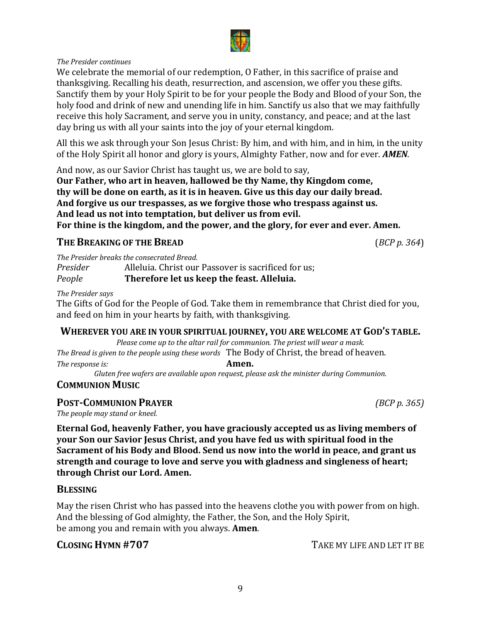#### *The Presider continues*

We celebrate the memorial of our redemption, O Father, in this sacrifice of praise and thanksgiving. Recalling his death, resurrection, and ascension, we offer you these gifts. Sanctify them by your Holy Spirit to be for your people the Body and Blood of your Son, the holy food and drink of new and unending life in him. Sanctify us also that we may faithfully receive this holy Sacrament, and serve you in unity, constancy, and peace; and at the last day bring us with all your saints into the joy of your eternal kingdom.

All this we ask through your Son Jesus Christ: By him, and with him, and in him, in the unity of the Holy Spirit all honor and glory is yours, Almighty Father, now and for ever. **AMEN**.

And now, as our Savior Christ has taught us, we are bold to say,

Our Father, who art in heaven, hallowed be thy Name, thy Kingdom come, thy will be done on earth, as it is in heaven. Give us this day our daily bread. And forgive us our trespasses, as we forgive those who trespass against us. And lead us not into temptation, but deliver us from evil. For thine is the kingdom, and the power, and the glory, for ever and ever. Amen.

### **THE BREAKING OF THE BREAD** (*BCP p.* 364)

*The Presider breaks the consecrated Bread.* 

*Presider* Alleluia. Christ our Passover is sacrificed for us;<br>*People* **Therefore let us keep the feast. Alleluia. Therefore let us keep the feast. Alleluia.** 

#### *The Presider says*

The Gifts of God for the People of God. Take them in remembrance that Christ died for you, and feed on him in your hearts by faith, with thanksgiving.

#### WHEREVER YOU ARE IN YOUR SPIRITUAL JOURNEY, YOU ARE WELCOME AT GOD'S TABLE.

*Please come up to the altar rail for communion. The priest will wear a mask. The Bread is given to the people using these words* The Body of Christ, the bread of heaven.<br>The response is: **Amen.** *The response is:* 

Gluten free wafers are available upon request, please ask the minister during Communion.

## **COMMUNION MUSIC**

#### **POST-COMMUNION PRAYER** *(BCP p. 365)*

The people may stand or kneel.

**Eternal God, heavenly Father, you have graciously accepted us as living members of your Son our Savior Jesus Christ, and you have fed us with spiritual food in the Sacrament of his Body and Blood. Send us now into the world in peace, and grant us** strength and courage to love and serve you with gladness and singleness of heart; through Christ our Lord. Amen.

#### **BLESSING**

May the risen Christ who has passed into the heavens clothe you with power from on high. And the blessing of God almighty, the Father, the Son, and the Holy Spirit, be among you and remain with you always. **Amen**.

**CLOSING HYMN #707** TAKE MY LIFE AND LET IT BE